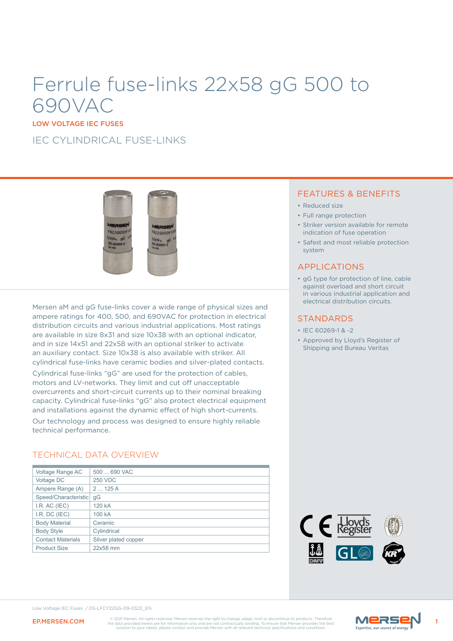# Ferrule fuse-links 22x58 gG 500 to 690VAC

LOW VOLTAGE IEC FUSES

IFC CYLINDRICAL FUSE-LINKS



Mersen aM and gG fuse-links cover a wide range of physical sizes and ampere ratings for 400, 500, and 690VAC for protection in electrical distribution circuits and various industrial applications. Most ratings are available in size 8x31 and size 10x38 with an optional indicator, and in size 14x51 and 22x58 with an optional striker to activate an auxiliary contact. Size 10x38 is also available with striker. All cylindrical fuse-links have ceramic bodies and silver-plated contacts.

Cylindrical fuse-links "gG" are used for the protection of cables, motors and LV-networks. They limit and cut off unacceptable overcurrents and short-circuit currents up to their nominal breaking capacity. Cylindrical fuse-links "gG" also protect electrical equipment and installations against the dynamic effect of high short-currents.

Our technology and process was designed to ensure highly reliable technical performance.

### TECHNICAL DATA OVERVIEW

| Voltage Range AC         | 500  690 VAC         |
|--------------------------|----------------------|
| Voltage DC               | <b>250 VDC</b>       |
| Ampere Range (A)         | 2125A                |
| Speed/Characteristic     | qG                   |
| I.R. AC (IEC)            | 120 kA               |
| I.R. DC (IEC)            | 100 kA               |
| <b>Body Material</b>     | Ceramic              |
| <b>Body Style</b>        | Cylindrical          |
| <b>Contact Materials</b> | Silver plated copper |
| <b>Product Size</b>      | 22x58 mm             |

### FEATURES & BENEFITS

- Reduced size
- Full range protection
- Striker version available for remote indication of fuse operation
- Safest and most reliable protection system

### APPLICATIONS

• gG type for protection of line, cable against overload and short circuit in various industrial application and electrical distribution circuits.

#### **STANDARDS**

- IEC 60269-1 & -2
- Approved by Lloyd's Register of Shipping and Bureau Veritas



Low Voltage IEC Fuses / DS-LFCY22GG-09-0322\_EN

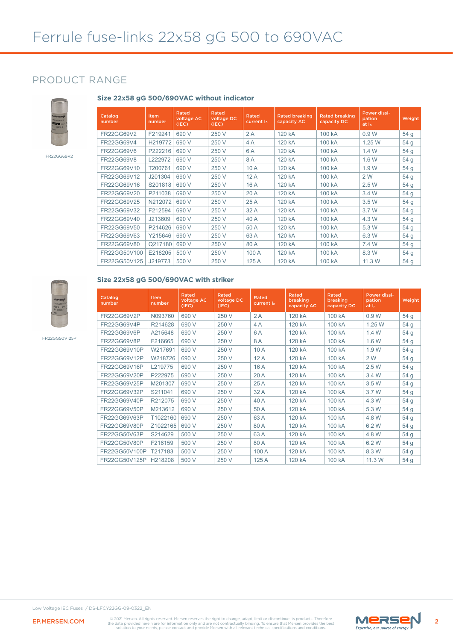### PRODUCT RANGE



FR22GG69V2

#### **Size 22x58 gG 500/690VAC without indicator**

| Catalog<br>number | <b>Item</b><br>number | Rated<br>voltage AC<br>(IEC) | <b>Rated</b><br>voltage DC<br>(IEC) | <b>Rated</b><br>current I <sub>n</sub> | <b>Rated breaking</b><br>capacity AC | <b>Rated breaking</b><br>capacity DC | Power dissi-<br>pation<br>at <sub>h</sub> | Weight          |
|-------------------|-----------------------|------------------------------|-------------------------------------|----------------------------------------|--------------------------------------|--------------------------------------|-------------------------------------------|-----------------|
| FR22GG69V2        | F219241               | 690 V                        | 250 V                               | 2A                                     | 120 kA                               | 100 kA                               | 0.9W                                      | 54 g            |
| FR22GG69V4        | H219772               | 690 V                        | 250 V                               | 4A                                     | 120 kA                               | 100 kA                               | 1.25 W                                    | 54 <sub>g</sub> |
| <b>FR22GG69V6</b> | P222216               | 690 V                        | 250 V                               | 6A                                     | 120 kA                               | 100 kA                               | 1.4 W                                     | 54 <sub>g</sub> |
| <b>FR22GG69V8</b> | L222972               | 690 V                        | 250 V                               | 8A                                     | 120 kA                               | 100 kA                               | 1.6 W                                     | 54 g            |
| FR22GG69V10       | T200761               | 690 V                        | 250 V                               | 10A                                    | 120 kA                               | 100 kA                               | 1.9 W                                     | 54 <sub>g</sub> |
| FR22GG69V12       | J201304               | 690 V                        | 250 V                               | 12A                                    | 120 kA                               | 100 kA                               | 2 W                                       | 54 <sub>g</sub> |
| FR22GG69V16       | S201818               | 690 V                        | 250 V                               | 16 A                                   | 120 kA                               | 100 kA                               | 2.5 W                                     | 54 <sub>g</sub> |
| FR22GG69V20       | P211038               | 690 V                        | 250 V                               | 20 A                                   | 120 kA                               | 100 kA                               | 3.4 W                                     | 54 <sub>g</sub> |
| FR22GG69V25       | N212072               | 690 V                        | 250 V                               | 25 A                                   | 120 kA                               | 100 kA                               | 3.5 W                                     | 54 <sub>g</sub> |
| FR22GG69V32       | F212594               | 690 V                        | 250 V                               | 32 A                                   | 120 kA                               | 100 kA                               | 3.7 W                                     | 54 <sub>g</sub> |
| FR22GG69V40       | J213609               | 690 V                        | 250 V                               | 40 A                                   | 120 kA                               | 100 kA                               | 4.3 W                                     | 54 <sub>g</sub> |
| FR22GG69V50       | P214626               | 690 V                        | 250 V                               | 50 A                                   | 120 kA                               | 100 kA                               | 5.3 W                                     | 54 <sub>g</sub> |
| FR22GG69V63       | Y215646               | 690 V                        | 250 V                               | 63A                                    | 120 kA                               | 100 kA                               | 6.3 W                                     | 54 <sub>g</sub> |
| FR22GG69V80       | Q217180               | 690 V                        | 250 V                               | 80A                                    | 120 kA                               | 100 kA                               | 7.4 W                                     | 54 <sub>g</sub> |
| FR22GG50V100      | E218205               | 500 V                        | 250 V                               | 100 A                                  | 120 kA                               | 100 kA                               | 8.3 W                                     | 54 <sub>g</sub> |
| FR22GG50V125      | J219773               | 500 V                        | 250 V                               | 125A                                   | 120 kA                               | 100 kA                               | 11.3 W                                    | 54 g            |



### **Size 22x58 gG 500/690VAC with striker**

FR22GG50V125P

| Catalog<br>number | <b>Item</b><br>number | <b>Rated</b><br>voltage AC<br>(IEC) | Rated<br>voltage DC<br>(IEC) | <b>Rated</b><br>current I <sub>n</sub> | <b>Rated</b><br>breaking<br>capacity AC | Rated<br>breaking<br>capacity DC | Power dissi-<br>pation<br>at In | Weight          |
|-------------------|-----------------------|-------------------------------------|------------------------------|----------------------------------------|-----------------------------------------|----------------------------------|---------------------------------|-----------------|
| FR22GG69V2P       | N093760               | 690 V                               | 250 V                        | 2A                                     | 120 kA                                  | 100 kA                           | 0.9W                            | 54 <sub>g</sub> |
| FR22GG69V4P       | R214628               | 690 V                               | 250 V                        | 4 A                                    | 120 kA                                  | 100 kA                           | 1.25 W                          | 54 <sub>g</sub> |
| FR22GG69V6P       | A215648               | 690 V                               | 250 V                        | 6 A                                    | 120 kA                                  | 100 kA                           | 1.4 W                           | 54 <sub>g</sub> |
| FR22GG69V8P       | F216665               | 690 V                               | 250 V                        | 8A                                     | 120 kA                                  | 100 kA                           | 1.6 W                           | 54 <sub>g</sub> |
| FR22GG69V10P      | W217691               | 690 V                               | 250 V                        | 10A                                    | 120 kA                                  | 100 kA                           | 1.9W                            | 54 <sub>g</sub> |
| FR22GG69V12P      | W218726               | 690 V                               | 250 V                        | 12A                                    | 120 kA                                  | 100 kA                           | 2 W                             | 54 <sub>g</sub> |
| FR22GG69V16P      | L219775               | 690 V                               | 250 V                        | 16 A                                   | 120 kA                                  | 100 kA                           | 2.5W                            | 54 <sub>g</sub> |
| FR22GG69V20P      | P222975               | 690 V                               | 250 V                        | 20A                                    | 120 kA                                  | 100 kA                           | 3.4 W                           | 54 <sub>q</sub> |
| FR22GG69V25P      | M201307               | 690 V                               | 250 V                        | 25A                                    | 120 kA                                  | 100 kA                           | 3.5 W                           | 54 <sub>g</sub> |
| FR22GG69V32P      | S211041               | 690 V                               | 250 V                        | 32 A                                   | 120 kA                                  | 100 kA                           | 3.7 W                           | 54 <sub>g</sub> |
| FR22GG69V40P      | R212075               | 690 V                               | 250 V                        | 40 A                                   | 120 kA                                  | 100 kA                           | 4.3 W                           | 54 <sub>g</sub> |
| FR22GG69V50P      | M213612               | 690 V                               | 250 V                        | 50 A                                   | 120 kA                                  | 100 kA                           | 5.3 W                           | 54 <sub>g</sub> |
| FR22GG69V63P      | T1022160              | 690 V                               | 250 V                        | 63A                                    | 120 kA                                  | 100 kA                           | 4.8 W                           | 54 <sub>g</sub> |
| FR22GG69V80P      | Z1022165              | 690 V                               | 250 V                        | 80 A                                   | 120 kA                                  | 100 kA                           | 6.2 W                           | 54 <sub>g</sub> |
| FR22GG50V63P      | S214629               | 500 V                               | 250 V                        | 63A                                    | 120 kA                                  | 100 kA                           | 4.8 W                           | 54 <sub>g</sub> |
| FR22GG50V80P      | F216159               | 500 V                               | 250 V                        | 80A                                    | 120 kA                                  | 100 kA                           | 6.2 W                           | 54 <sub>g</sub> |
| FR22GG50V100P     | T217183               | 500 V                               | 250 V                        | 100 A                                  | 120 kA                                  | 100 kA                           | 8.3 W                           | 54 <sub>g</sub> |
| FR22GG50V125P     | H218208               | 500 V                               | 250 V                        | 125A                                   | 120 kA                                  | 100 kA                           | 11.3 W                          | 54 <sub>g</sub> |



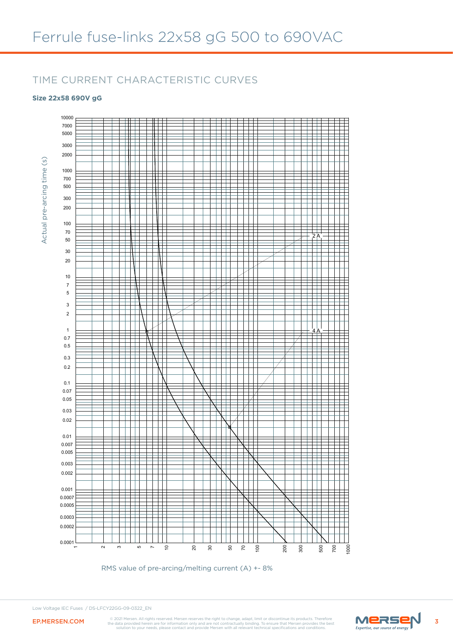### TIME CURRENT CHARACTERISTIC CURVES

### **Size 22x58 690V gG**





Low Voltage IEC Fuses / DS-LFCY22GG-09-0322\_EN



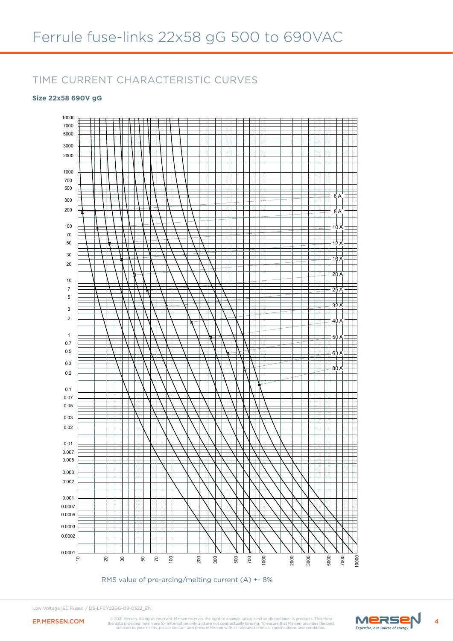### TIME CURRENT CHARACTERISTIC CURVES

#### **Size 22x58 690V gG**



RMS value of pre-arcing/melting current (A) +- 8%

Low Voltage IEC Fuses / DS-LFCY22GG-09-0322\_EN



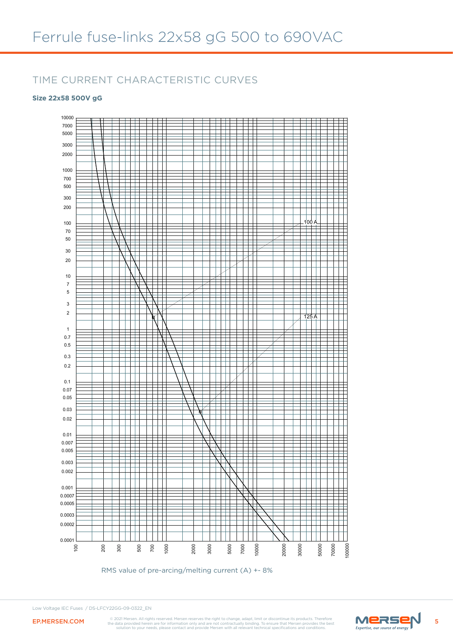### TIME CURRENT CHARACTERISTIC CURVES

#### **Size 22x58 500V gG**



RMS value of pre-arcing/melting current (A) +- 8%



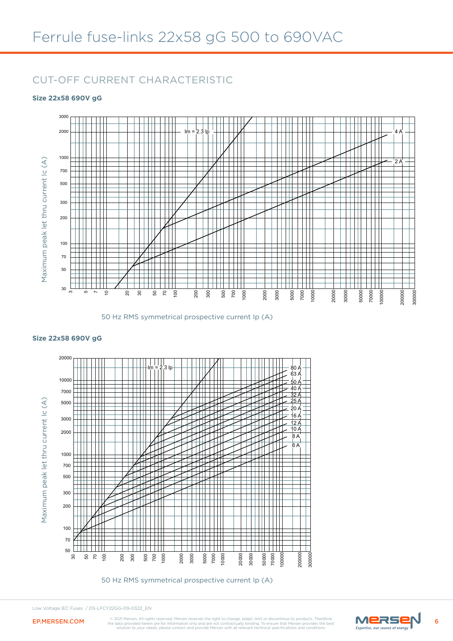### CUT-OFF CURRENT CHARACTERISTIC

#### **Size 22x58 690V gG**



50 Hz RMS symmetrical prospective current Ip (A)



50 Hz RMS symmetrical prospective current Ip (A)

### **Size 22x58 690V gG**

Low Voltage IEC Fuses / DS-LFCY22GG-09-0322\_EN

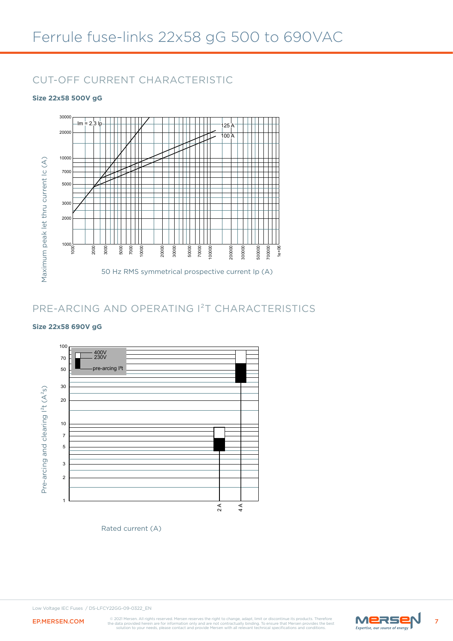### CUT-OFF CURRENT CHARACTERISTIC

#### **Size 22x58 500V gG**



### PRE-ARCING AND OPERATING I²T CHARACTERISTICS

#### **Size 22x58 690V gG**



Rated current (A)

Low Voltage IEC Fuses / DS-LFCY22GG-09-0322\_EN



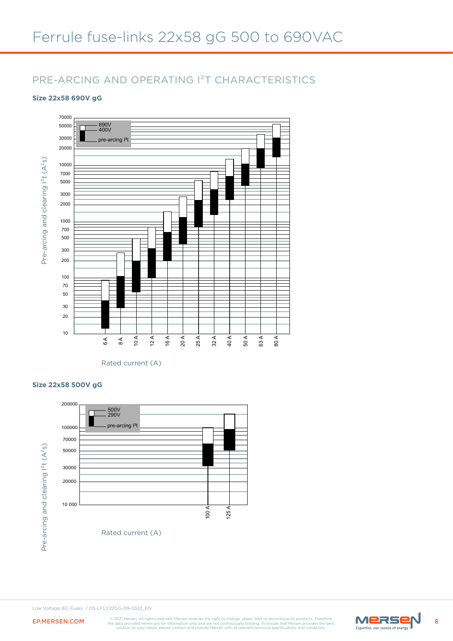## Ferrule fuse-links 22x58 gG 500 to 690VAC

### PRE-ARCING AND OPERATING I²T CHARACTERISTICS

#### **Size 22x58 690V gG**



Rated current (A)

#### **Size 22x58 500V gG**



Low Voltage IEC Fuses / DS-LFCY22GG-09-0322\_EN